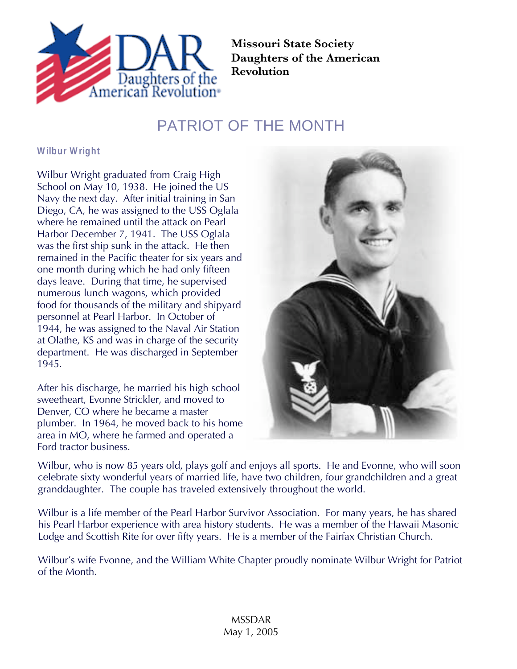

**Missouri State Society Daughters of the American Revolution**

## PATRIOT OF THE MONTH

**Wilbur Wright**

Wilbur Wright graduated from Craig High School on May 10, 1938. He joined the US Navy the next day. After initial training in San Diego, CA, he was assigned to the USS Oglala where he remained until the attack on Pearl Harbor December 7, 1941. The USS Oglala was the first ship sunk in the attack. He then remained in the Pacific theater for six years and one month during which he had only fifteen days leave. During that time, he supervised numerous lunch wagons, which provided food for thousands of the military and shipyard personnel at Pearl Harbor. In October of 1944, he was assigned to the Naval Air Station at Olathe, KS and was in charge of the security department. He was discharged in September 1945.

After his discharge, he married his high school sweetheart, Evonne Strickler, and moved to Denver, CO where he became a master plumber. In 1964, he moved back to his home area in MO, where he farmed and operated a Ford tractor business.



Wilbur, who is now 85 years old, plays golf and enjoys all sports. He and Evonne, who will soon celebrate sixty wonderful years of married life, have two children, four grandchildren and a great granddaughter. The couple has traveled extensively throughout the world.

Wilbur is a life member of the Pearl Harbor Survivor Association. For many years, he has shared his Pearl Harbor experience with area history students. He was a member of the Hawaii Masonic Lodge and Scottish Rite for over fifty years. He is a member of the Fairfax Christian Church.

Wilbur's wife Evonne, and the William White Chapter proudly nominate Wilbur Wright for Patriot of the Month.

> MSSDAR May 1, 2005